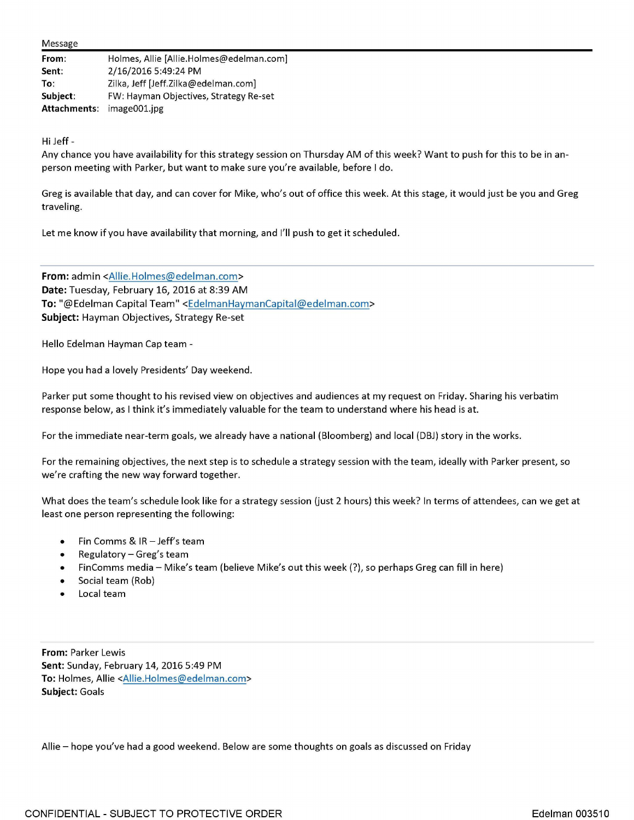## Message

| From:                     | Holmes, Allie [Allie.Holmes@edelman.com] |
|---------------------------|------------------------------------------|
| Sent:                     | 2/16/2016 5:49:24 PM                     |
| To:                       | Zilka, Jeff [Jeff.Zilka@edelman.com]     |
| Subject:                  | FW: Hayman Objectives, Strategy Re-set   |
| Attachments: image001.jpg |                                          |

Hi Jeff -

Any chance you have availability for this strategy session on Thursday AM of this week? Want to push for this to be in anperson meeting with Parker, but want to make sure you're available, before I do.

Greg is available that day, and can cover for Mike, who's out of office this week. At this stage, it would just be you and Greg traveling.

Let me know if you have availability that morning, and I'll push to get it scheduled.

**From:** admin <Allie.Holmes@edelman.com > **Date:** Tuesday, February 16, 2016 at 8:39 AM **To:** "@Edelman Capital Team" <EdelmanHaymanCapital@edelman.com> **Subject:** Hayman Objectives, Strategy Re-set

Hello Edelman Hayman Cap team -

Hope you had a lovely Presidents' Day weekend.

Parker put some thought to his revised view on objectives and audiences at my request on Friday. Sharing his verbatim response below, as I think it's immediately valuable for the team to understand where his head is at.

For the immediate near-term goals, we already have a national (Bloomberg) and local (DBJ) story in the works.

For the remaining objectives, the next step is to schedule a strategy session with the team, ideally with Parker present, so we're crafting the new way forward together.

What does the team's schedule look like for a strategy session (just 2 hours) this week? In terms of attendees, can we get at least one person representing the following:

- Fin Comms & IR -Jeff's team
- Regulatory Greg's team
- FinComms media Mike's team (believe Mike's out this week(?), so perhaps Greg can fill in here)
- Social team (Rob)
- Local team

**From:** Parker Lewis **Sent:** Sunday, February 14, 2016 5:49 PM **To:** Holmes, Allie <Allie.Holmes@edelman.com> **Subject:** Goals

Allie - hope you've had a good weekend. Below are some thoughts on goals as discussed on Friday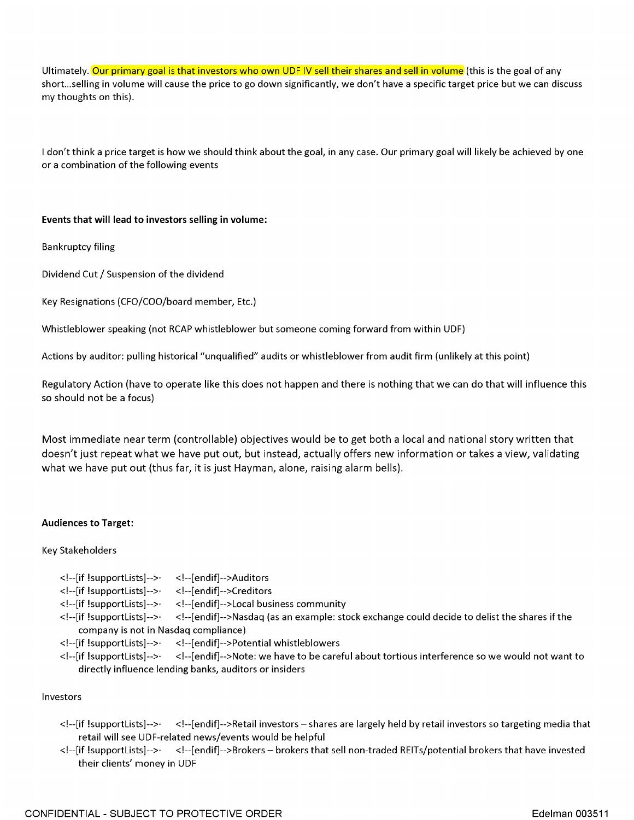Ultimately. Our primary goal is that investors who own UDF IV sell their shares and sell in volume (this is the goal of any short ... selling in volume will cause the price to go down significantly, we don't have a specific target price but we can discuss my thoughts on this).

I don't think a price target is how we should think about the goal, in any case. Our primary goal will likely be achieved by one or a combination of the following events

## **Events that will lead to investors selling in volume:**

Bankruptcy filing

Dividend Cut/ Suspension of the dividend

Key Resignations (CFO/COO/board member, Etc.)

Whistleblower speaking (not RCAP whistleblower but someone coming forward from within UDF)

Actions by auditor: pulling historical "unqualified" audits or whistleblower from audit firm (unlikely at this point)

Regulatory Action (have to operate like this does not happen and there is nothing that we can do that will influence this so should not be a focus)

Most immediate near term (controllable) objectives would be to get both a local and national story written that doesn't just repeat what we have put out, but instead, actually offers new information or takes a view, validating what we have put out (thus far, it is just Hayman, alone, raising alarm bells).

## **Audiences to Target:**

Key Stakeholders

```
< !--[ endif]-->Auditors 
                           < !--[ endif]-->Creditors 
                           <!--[endif]-->Local business community 
<!--[if !supportlists]-->· 
<!--[if !supportlists]-->· 
<!--[if !supportlists]-->· 
<!--[if !supportlists]-->· <!--[endif]-->Nasdaq (as an example: stock exchange could decide to delist the shares if the 
    company is not in Nasdaq compliance) 
<!--[if !supportlists]-->· < !--[endif]-->Potential whistleblowers 
<!--[if !supportlists]-->· <!--[endif]-->Note: we have to be careful about tortious interference so we would not want to 
    directly influence lending banks, auditors or insiders
```
## Investors

- <!--[if !supportlists]-->· <!--[endif]-->Retail investors shares are largely held by retail investors so targeting media that retail will see UDF-related news/events would be helpful
- <!--[if !supportlists]-->· <!--[endif]-->Brokers brokers that sell non-traded REITs/potential brokers that have invested their clients' money in UDF